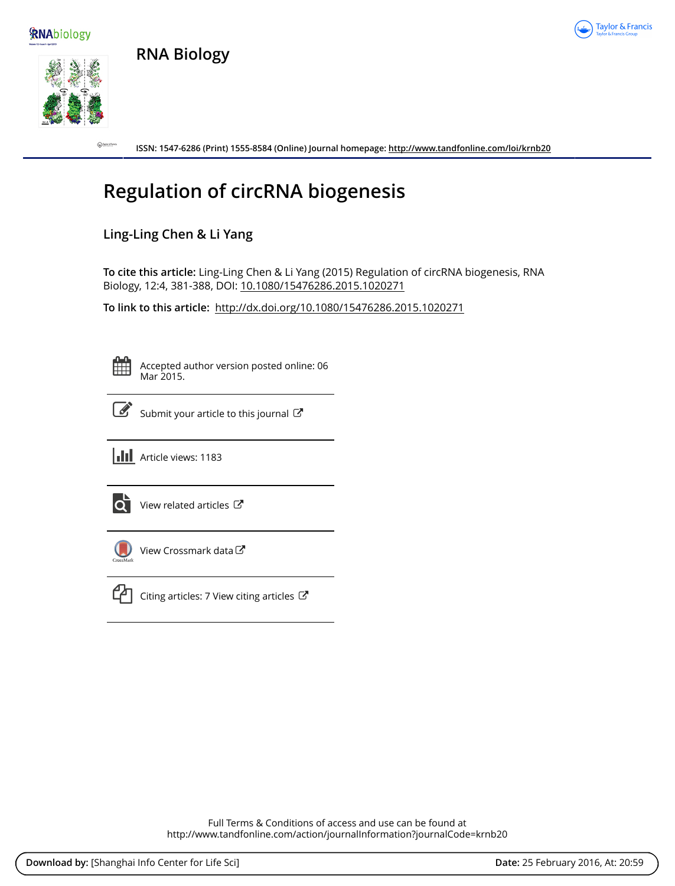





**ISSN: 1547-6286 (Print) 1555-8584 (Online) Journal homepage:<http://www.tandfonline.com/loi/krnb20>**

# **Regulation of circRNA biogenesis**

## **Ling-Ling Chen & Li Yang**

**To cite this article:** Ling-Ling Chen & Li Yang (2015) Regulation of circRNA biogenesis, RNA Biology, 12:4, 381-388, DOI: [10.1080/15476286.2015.1020271](http://www.tandfonline.com/action/showCitFormats?doi=10.1080/15476286.2015.1020271)

**To link to this article:** <http://dx.doi.org/10.1080/15476286.2015.1020271>



Accepted author version posted online: 06 Mar 2015.



 $\overline{\mathscr{L}}$  [Submit your article to this journal](http://www.tandfonline.com/action/authorSubmission?journalCode=krnb20&page=instructions)  $\mathbb{F}$ 



**III** Article views: 1183



[View related articles](http://www.tandfonline.com/doi/mlt/10.1080/15476286.2015.1020271)  $\mathbb{Z}$ 



[View Crossmark data](http://crossmark.crossref.org/dialog/?doi=10.1080/15476286.2015.1020271&domain=pdf&date_stamp=2015-03-06)



[Citing articles: 7 View citing articles](http://www.tandfonline.com/doi/citedby/10.1080/15476286.2015.1020271#tabModule)  $\mathbb{C}$ 

Full Terms & Conditions of access and use can be found at <http://www.tandfonline.com/action/journalInformation?journalCode=krnb20>

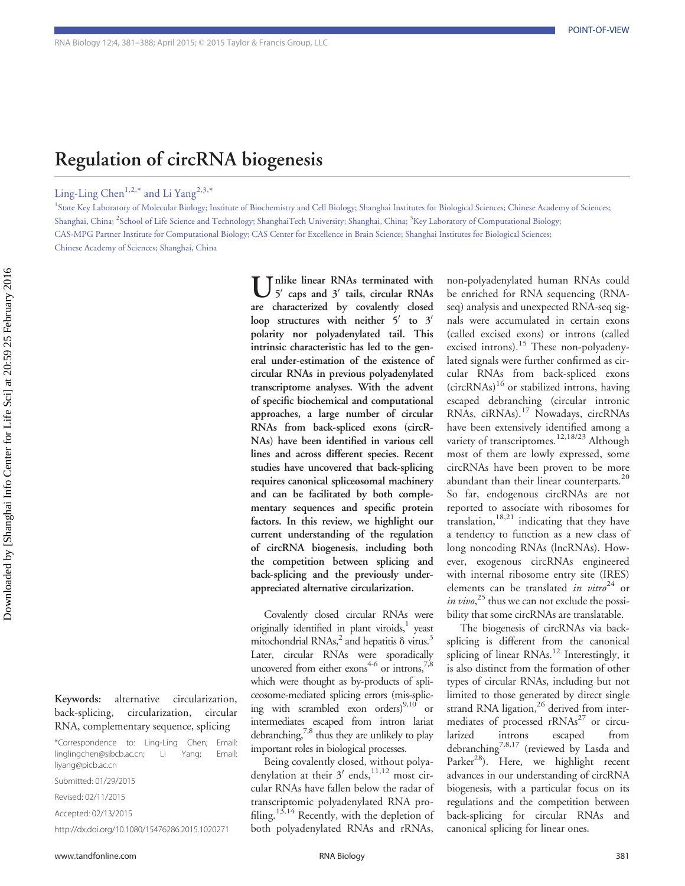## Regulation of circRNA biogenesis

#### Ling-Ling Chen<sup>1,2,\*</sup> and Li Yang<sup>2,3,\*</sup>

<sup>1</sup>State Key Laboratory of Molecular Biology; Institute of Biochemistry and Cell Biology; Shanghai Institutes for Biological Sciences; Chinese Academy of Sciences; Shanghai, China; <sup>2</sup>School of Life Science and Technology; ShanghaiTech University; Shanghai, China; <sup>3</sup>Key Laboratory of Computational Biology; CAS-MPG Partner Institute for Computational Biology; CAS Center for Excellence in Brain Science; Shanghai Institutes for Biological Sciences; Chinese Academy of Sciences; Shanghai, China

Keywords: alternative circularization, back-splicing, circularization, circular RNA, complementary sequence, splicing

\*Correspondence to: Ling-Ling Chen; Email: linglingchen@sibcb.ac.cn; Li Yang; Email: liyang@picb.ac.cn

Submitted: 01/29/2015

Revised: 02/11/2015

Accepted: 02/13/2015

http://dx.doi.org/10.1080/15476286.2015.1020271

Tnlike linear RNAs terminated with  $5'$  caps and  $3'$  tails, circular RNAs are characterized by covalently closed loop structures with neither  $5'$  to  $3'$ polarity nor polyadenylated tail. This intrinsic characteristic has led to the general under-estimation of the existence of circular RNAs in previous polyadenylated transcriptome analyses. With the advent of specific biochemical and computational approaches, a large number of circular RNAs from back-spliced exons (circR-NAs) have been identified in various cell lines and across different species. Recent studies have uncovered that back-splicing requires canonical spliceosomal machinery and can be facilitated by both complementary sequences and specific protein factors. In this review, we highlight our current understanding of the regulation of circRNA biogenesis, including both the competition between splicing and back-splicing and the previously underappreciated alternative circularization.

Covalently closed circular RNAs were originally identified in plant viroids, $<sup>1</sup>$  yeast</sup> mitochondrial  $RNAs<sub>1</sub><sup>2</sup>$  and hepatitis  $\delta$  virus.<sup>3</sup> Later, circular RNAs were sporadically uncovered from either  $\cos^{4-6}$  or introns,<sup>7,8</sup> which were thought as by-products of spliceosome-mediated splicing errors (mis-splicing with scrambled exon orders)<sup>9,10</sup> or intermediates escaped from intron lariat debranching, $^{7,8}$  thus they are unlikely to play important roles in biological processes.

Being covalently closed, without polyadenylation at their  $3'$  ends,<sup>11,12</sup> most circular RNAs have fallen below the radar of transcriptomic polyadenylated RNA profiling.<sup>13,14</sup> Recently, with the depletion of both polyadenylated RNAs and rRNAs,

non-polyadenylated human RNAs could be enriched for RNA sequencing (RNAseq) analysis and unexpected RNA-seq signals were accumulated in certain exons (called excised exons) or introns (called excised introns).<sup>15</sup> These non-polyadenylated signals were further confirmed as circular RNAs from back-spliced exons  $(circRNAs)^{16}$  or stabilized introns, having escaped debranching (circular intronic RNAs, ciRNAs).<sup>17</sup> Nowadays, circRNAs have been extensively identified among a variety of transcriptomes.<sup>12,18/23</sup> Although most of them are lowly expressed, some circRNAs have been proven to be more abundant than their linear counterparts.<sup>20</sup> So far, endogenous circRNAs are not reported to associate with ribosomes for translation, $18,21$  indicating that they have a tendency to function as a new class of long noncoding RNAs (lncRNAs). However, exogenous circRNAs engineered with internal ribosome entry site (IRES) elements can be translated *in vitro*<sup>24</sup> or *in vivo*, $25$  thus we can not exclude the possibility that some circRNAs are translatable.

The biogenesis of circRNAs via backsplicing is different from the canonical splicing of linear RNAs.<sup>12</sup> Interestingly, it is also distinct from the formation of other types of circular RNAs, including but not limited to those generated by direct single strand RNA ligation,<sup>26</sup> derived from intermediates of processed rRNAs<sup>27</sup> or circularized introns escaped from debranching<sup>7,8,17</sup> (reviewed by Lasda and Parker<sup>28</sup>). Here, we highlight recent advances in our understanding of circRNA biogenesis, with a particular focus on its regulations and the competition between back-splicing for circular RNAs and canonical splicing for linear ones.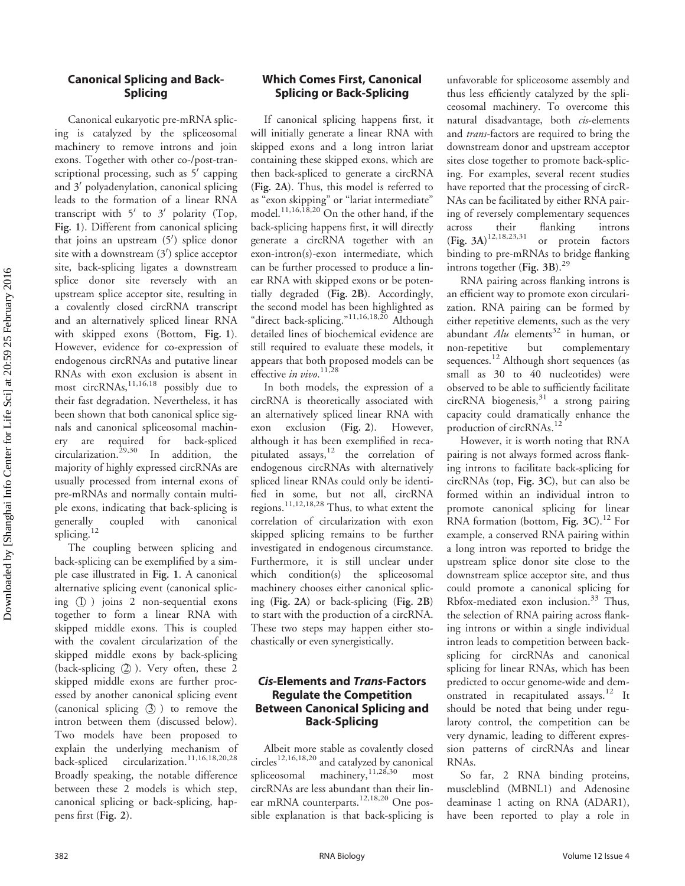### Canonical Splicing and Back-Splicing

Canonical eukaryotic pre-mRNA splicing is catalyzed by the spliceosomal machinery to remove introns and join exons. Together with other co-/post-transcriptional processing, such as  $5'$  capping and  $3'$  polyadenylation, canonical splicing leads to the formation of a linear RNA transcript with  $5'$  to  $3'$  polarity (Top, Fig. 1). Different from canonical splicing that joins an upstream (5') splice donor site with a downstream  $(3')$  splice acceptor site, back-splicing ligates a downstream splice donor site reversely with an upstream splice acceptor site, resulting in a covalently closed circRNA transcript and an alternatively spliced linear RNA with skipped exons (Bottom, Fig. 1). However, evidence for co-expression of endogenous circRNAs and putative linear RNAs with exon exclusion is absent in most circRNAs,<sup>11,16,18</sup> possibly due to their fast degradation. Nevertheless, it has been shown that both canonical splice signals and canonical spliceosomal machinery are required for back-spliced  $circ$ ircularization.<sup>29,30</sup> In addition, the majority of highly expressed circRNAs are usually processed from internal exons of pre-mRNAs and normally contain multiple exons, indicating that back-splicing is generally coupled with canonical splicing.<sup>12</sup>

The coupling between splicing and back-splicing can be exemplified by a simple case illustrated in Fig. 1. A canonical alternative splicing event (canonical splicing (1) ) joins 2 non-sequential exons together to form a linear RNA with skipped middle exons. This is coupled with the covalent circularization of the skipped middle exons by back-splicing (back-splicing  $(2)$ ). Very often, these 2 skipped middle exons are further processed by another canonical splicing event (canonical splicing 3) to remove the intron between them (discussed below). Two models have been proposed to explain the underlying mechanism of back-spliced circularization.11,16,18,20,28 Broadly speaking, the notable difference between these 2 models is which step, canonical splicing or back-splicing, happens first (Fig. 2).

### Which Comes First, Canonical Splicing or Back-Splicing

If canonical splicing happens first, it will initially generate a linear RNA with skipped exons and a long intron lariat containing these skipped exons, which are then back-spliced to generate a circRNA (Fig. 2A). Thus, this model is referred to as "exon skipping" or "lariat intermediate" model.11,16,18,20 On the other hand, if the back-splicing happens first, it will directly generate a circRNA together with an exon-intron(s)-exon intermediate, which can be further processed to produce a linear RNA with skipped exons or be potentially degraded (Fig. 2B). Accordingly, the second model has been highlighted as "direct back-splicing."11,16,18,20 Although detailed lines of biochemical evidence are still required to evaluate these models, it appears that both proposed models can be effective in vivo.<sup>11,28</sup>

In both models, the expression of a circRNA is theoretically associated with an alternatively spliced linear RNA with exon exclusion (Fig. 2). However, although it has been exemplified in recapitulated assays,<sup>12</sup> the correlation of endogenous circRNAs with alternatively spliced linear RNAs could only be identified in some, but not all, circRNA regions.11,12,18,28 Thus, to what extent the correlation of circularization with exon skipped splicing remains to be further investigated in endogenous circumstance. Furthermore, it is still unclear under which condition(s) the spliceosomal machinery chooses either canonical splicing (Fig. 2A) or back-splicing (Fig. 2B) to start with the production of a circRNA. These two steps may happen either stochastically or even synergistically.

### Cis-Elements and Trans-Factors Regulate the Competition Between Canonical Splicing and Back-Splicing

Albeit more stable as covalently closed circles<sup>12,16,18,20</sup> and catalyzed by canonical spliceosomal machinery,<sup>11,28,30</sup> most circRNAs are less abundant than their linear mRNA counterparts.<sup>12,18,20</sup> One possible explanation is that back-splicing is unfavorable for spliceosome assembly and thus less efficiently catalyzed by the spliceosomal machinery. To overcome this natural disadvantage, both *cis*-elements and trans-factors are required to bring the downstream donor and upstream acceptor sites close together to promote back-splicing. For examples, several recent studies have reported that the processing of circR-NAs can be facilitated by either RNA pairing of reversely complementary sequences across their flanking introns (Fig. 3A) or protein factors binding to pre-mRNAs to bridge flanking introns together (Fig.  $3B$ ).<sup>29</sup>

RNA pairing across flanking introns is an efficient way to promote exon circularization. RNA pairing can be formed by either repetitive elements, such as the very abundant  $Alu$  elements<sup>32</sup> in human, or non-repetitive but complementary sequences.<sup>12</sup> Although short sequences (as small as 30 to 40 nucleotides) were observed to be able to sufficiently facilitate circRNA biogenesis,<sup>31</sup> a strong pairing capacity could dramatically enhance the production of circRNAs.<sup>12</sup>

However, it is worth noting that RNA pairing is not always formed across flanking introns to facilitate back-splicing for circRNAs (top, Fig. 3C), but can also be formed within an individual intron to promote canonical splicing for linear RNA formation (bottom, Fig. 3C).<sup>12</sup> For example, a conserved RNA pairing within a long intron was reported to bridge the upstream splice donor site close to the downstream splice acceptor site, and thus could promote a canonical splicing for Rbfox-mediated exon inclusion.<sup>33</sup> Thus, the selection of RNA pairing across flanking introns or within a single individual intron leads to competition between backsplicing for circRNAs and canonical splicing for linear RNAs, which has been predicted to occur genome-wide and demonstrated in recapitulated assays.<sup>12</sup> It should be noted that being under regularoty control, the competition can be very dynamic, leading to different expression patterns of circRNAs and linear RNAs.

So far, 2 RNA binding proteins, muscleblind (MBNL1) and Adenosine deaminase 1 acting on RNA (ADAR1), have been reported to play a role in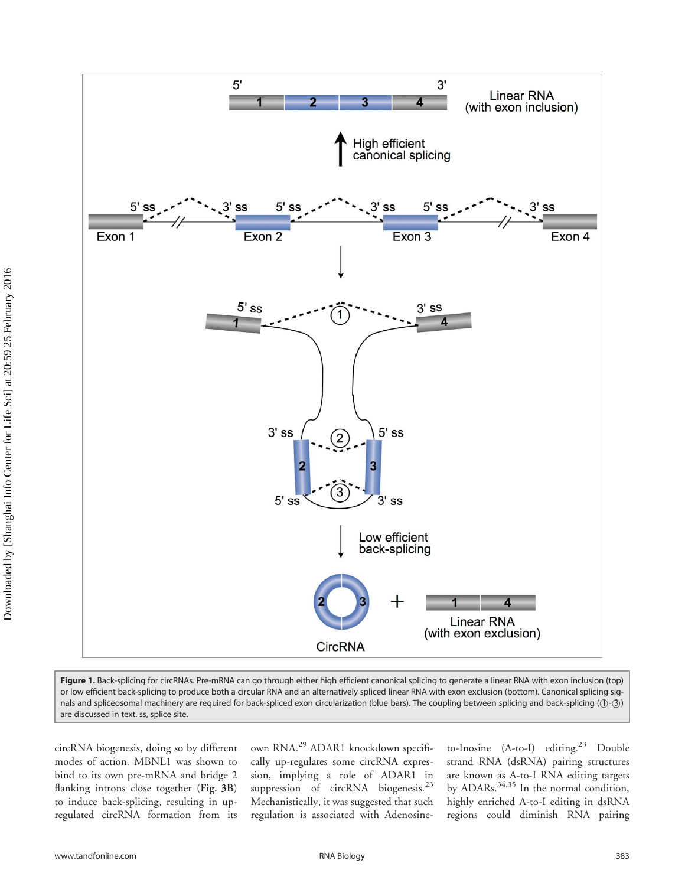

Figure 1. Back-splicing for circRNAs. Pre-mRNA can go through either high efficient canonical splicing to generate a linear RNA with exon inclusion (top) or low efficient back-splicing to produce both a circular RNA and an alternatively spliced linear RNA with exon exclusion (bottom). Canonical splicing signals and spliceosomal machinery are required for back-spliced exon circularization (blue bars). The coupling between splicing and back-splicing (①-③) are discussed in text. ss, splice site.

circRNA biogenesis, doing so by different modes of action. MBNL1 was shown to bind to its own pre-mRNA and bridge 2 flanking introns close together (Fig. 3B) to induce back-splicing, resulting in upregulated circRNA formation from its own RNA.<sup>29</sup> ADAR1 knockdown specifically up-regulates some circRNA expression, implying a role of ADAR1 in suppression of circRNA biogenesis.<sup>23</sup> Mechanistically, it was suggested that such regulation is associated with Adenosineto-Inosine  $(A-to-I)$  editing.<sup>23</sup> Double strand RNA (dsRNA) pairing structures are known as A-to-I RNA editing targets by ADARs.<sup>34,35</sup> In the normal condition, highly enriched A-to-I editing in dsRNA regions could diminish RNA pairing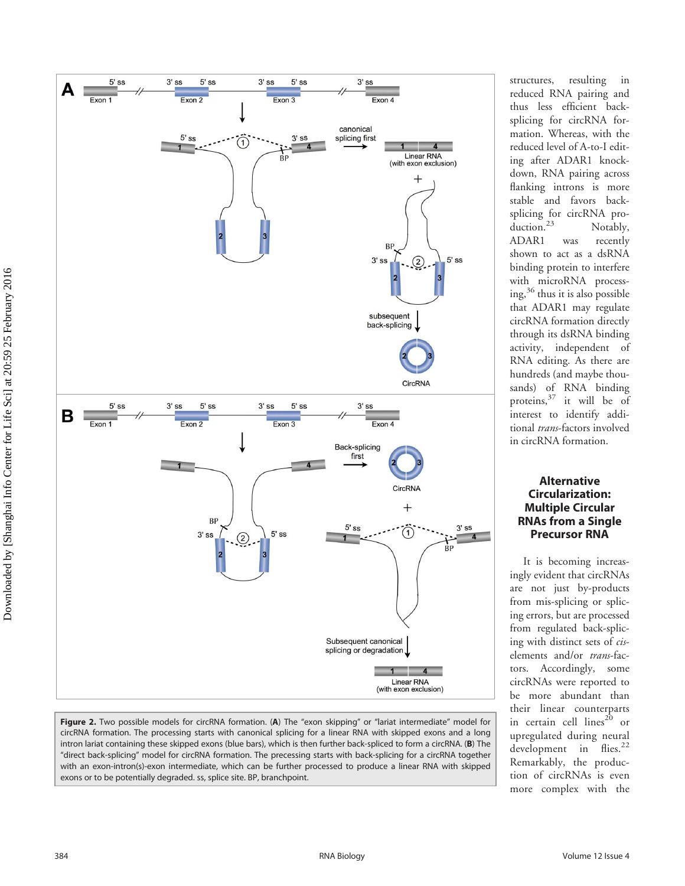

Figure 2. Two possible models for circRNA formation. (A) The "exon skipping" or "lariat intermediate" model for circRNA formation. The processing starts with canonical splicing for a linear RNA with skipped exons and a long intron lariat containing these skipped exons (blue bars), which is then further back-spliced to form a circRNA. (B) The "direct back-splicing" model for circRNA formation. The precessing starts with back-splicing for a circRNA together with an exon-intron(s)-exon intermediate, which can be further processed to produce a linear RNA with skipped exons or to be potentially degraded. ss, splice site. BP, branchpoint.

structures, resulting in reduced RNA pairing and thus less efficient backsplicing for circRNA formation. Whereas, with the reduced level of A-to-I editing after ADAR1 knockdown, RNA pairing across flanking introns is more stable and favors backsplicing for circRNA production.<sup>23</sup> Notably, ADAR1 was recently shown to act as a dsRNA binding protein to interfere with microRNA processing, $36$  thus it is also possible that ADAR1 may regulate circRNA formation directly through its dsRNA binding activity, independent of RNA editing. As there are hundreds (and maybe thousands) of RNA binding proteins,<sup>37</sup> it will be of interest to identify additional trans-factors involved in circRNA formation.

## Alternative Circularization: Multiple Circular RNAs from a Single Precursor RNA

It is becoming increasingly evident that circRNAs are not just by-products from mis-splicing or splicing errors, but are processed from regulated back-splicing with distinct sets of ciselements and/or trans-factors. Accordingly, some circRNAs were reported to be more abundant than their linear counterparts in certain cell lines<sup>20</sup> or upregulated during neural development in flies.<sup>22</sup> Remarkably, the production of circRNAs is even more complex with the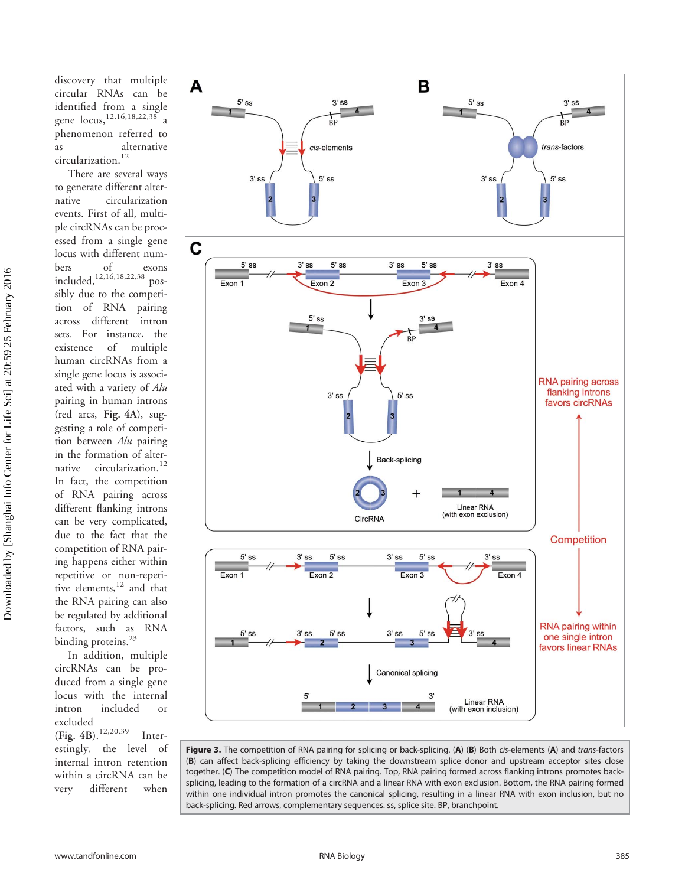discovery that multiple circular RNAs can be identified from a single gene locus, 12,16,18,22,38 a phenomenon referred to as alternative circularization.<sup>12</sup>

There are several ways to generate different alternative circularization events. First of all, multiple circRNAs can be processed from a single gene locus with different numbers of exons included,<sup>12,16,18,22,38</sup> possibly due to the competition of RNA pairing across different intron sets. For instance, the existence of multiple human circRNAs from a single gene locus is associated with a variety of Alu pairing in human introns (red arcs, Fig. 4A), suggesting a role of competition between Alu pairing in the formation of alternative circularization.<sup>12</sup> In fact, the competition of RNA pairing across different flanking introns can be very complicated, due to the fact that the competition of RNA pairing happens either within repetitive or non-repetitive elements, $12$  and that the RNA pairing can also be regulated by additional factors, such as RNA binding proteins.<sup>23</sup>

In addition, multiple circRNAs can be produced from a single gene locus with the internal intron included or excluded

(Fig.  $4B$ ).<sup>12,20,39</sup> Interestingly, the level of internal intron retention within a circRNA can be very different when



Figure 3. The competition of RNA pairing for splicing or back-splicing. (A) (B) Both cis-elements (A) and trans-factors (B) can affect back-splicing efficiency by taking the downstream splice donor and upstream acceptor sites close together. (C) The competition model of RNA pairing. Top, RNA pairing formed across flanking introns promotes backsplicing, leading to the formation of a circRNA and a linear RNA with exon exclusion. Bottom, the RNA pairing formed within one individual intron promotes the canonical splicing, resulting in a linear RNA with exon inclusion, but no back-splicing. Red arrows, complementary sequences. ss, splice site. BP, branchpoint.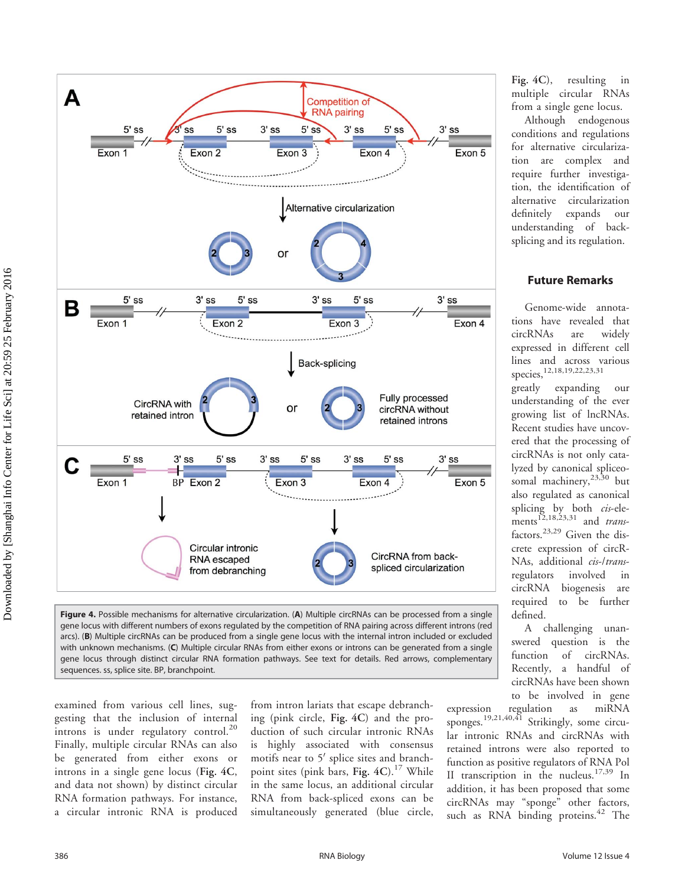



examined from various cell lines, suggesting that the inclusion of internal introns is under regulatory control. $^{20}$ Finally, multiple circular RNAs can also be generated from either exons or introns in a single gene locus (Fig. 4C, and data not shown) by distinct circular RNA formation pathways. For instance, a circular intronic RNA is produced

from intron lariats that escape debranching (pink circle, Fig. 4C) and the production of such circular intronic RNAs is highly associated with consensus motifs near to  $5'$  splice sites and branchpoint sites (pink bars, Fig.  $4C$ ).<sup>17</sup> While in the same locus, an additional circular RNA from back-spliced exons can be simultaneously generated (blue circle,

Fig. 4C), resulting in multiple circular RNAs from a single gene locus.

Although endogenous conditions and regulations for alternative circularization are complex and require further investigation, the identification of alternative circularization definitely expands our understanding of backsplicing and its regulation.

## Future Remarks

Genome-wide annotations have revealed that circRNAs are widely expressed in different cell lines and across various species,<sup>12,18,19,22,23,31</sup> greatly expanding our understanding of the ever growing list of lncRNAs. Recent studies have uncovered that the processing of circRNAs is not only catalyzed by canonical spliceosomal machinery,  $23,30$  but also regulated as canonical splicing by both *cis-*elements<sup>12,18,23,31</sup> and *trans*factors.23,29 Given the discrete expression of circR-NAs, additional cis-/transregulators involved in circRNA biogenesis are required to be further defined.

A challenging unanswered question is the function of circRNAs. Recently, a handful of circRNAs have been shown to be involved in gene

expression regulation as miRNA sponges.<sup>19,21,40,41</sup> Strikingly, some circular intronic RNAs and circRNAs with retained introns were also reported to function as positive regulators of RNA Pol II transcription in the nucleus.<sup>17,39</sup> In addition, it has been proposed that some circRNAs may "sponge" other factors, such as RNA binding proteins.<sup>42</sup> The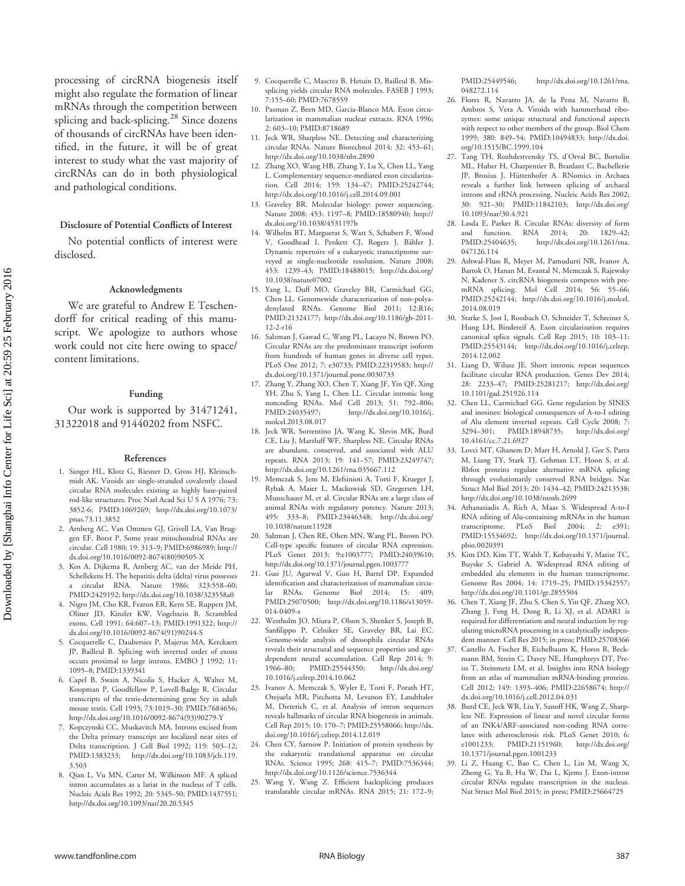processing of circRNA biogenesis itself might also regulate the formation of linear mRNAs through the competition between splicing and back-splicing.<sup>28</sup> Since dozens of thousands of circRNAs have been identified, in the future, it will be of great interest to study what the vast majority of circRNAs can do in both physiological and pathological conditions.

#### Disclosure of Potential Conflicts of Interest

No potential conflicts of interest were disclosed.

#### Acknowledgments

We are grateful to Andrew E Teschendorff for critical reading of this manuscript. We apologize to authors whose work could not cite here owing to space/ content limitations.

#### Funding

Our work is supported by 31471241, 31322018 and 91440202 from NSFC.

#### References

- 1. Sanger HL, Klotz G, Riesner D, Gross HJ, Kleinschmidt AK. Viroids are single-stranded covalently closed circular RNA molecules existing as highly base-paired rod-like structures. Proc Natl Acad Sci U S A 1976; 73: 3852-6; PMID:1069269; http://dx.doi.org/10.1073/ pnas.73.11.3852
- 2. Arnberg AC, Van Ommen GJ, Grivell LA, Van Bruggen EF, Borst P. Some yeast mitochondrial RNAs are circular. Cell 1980; 19: 313–9; PMID:6986989; http:// dx.doi.org/10.1016/0092-8674(80)90505-X
- 3. Kos A, Dijkema R, Arnberg AC, van der Meide PH, Schellekens H. The hepatitis delta (delta) virus possesses a circular RNA. Nature 1986; 323:558–60; PMID:2429192; http://dx.doi.org/10.1038/323558a0
- 4. Nigro JM, Cho KR, Fearon ER, Kern SE, Ruppert JM, Oliner JD, Kinzler KW, Vogelstein B. Scrambled exons. Cell 1991; 64:607–13; PMID:1991322; http:// dx.doi.org/10.1016/0092-8674(91)90244-S
- 5. Cocquerelle C, Daubersies P, Majerus MA, Kerckaert JP, Bailleul B. Splicing with inverted order of exons occurs proximal to large introns. EMBO J 1992; 11: 1095–8; PMID:1339341
- 6. Capel B, Swain A, Nicolis S, Hacker A, Walter M, Koopman P, Goodfellow P, Lovell-Badge R. Circular transcripts of the testis-determining gene Sry in adult mouse testis. Cell 1993; 73:1019–30; PMID:7684656; http://dx.doi.org/10.1016/0092-8674(93)90279-Y
- 7. Kopczynski CC, Muskavitch MA. Introns excised from the Delta primary transcript are localized near sites of Delta transcription. J Cell Biol 1992; 119: 503–12; PMID:1383233; http://dx.doi.org/10.1083/jcb.119. 3.503
- 8. Qian L, Vu MN, Carter M, Wilkinson MF. A spliced intron accumulates as a lariat in the nucleus of T cells. Nucleic Acids Res 1992; 20: 5345–50; PMID:1437551; http://dx.doi.org/10.1093/nar/20.20.5345
- 9. Cocquerelle C, Mascrez B, Hetuin D, Bailleul B. Missplicing yields circular RNA molecules. FASEB J 1993; 7:155–60; PMID:7678559
- 10. Pasman Z, Been MD, Garcia-Blanco MA. Exon circularization in mammalian nuclear extracts. RNA 1996; 2: 603–10; PMID:8718689
- 11. Jeck WR, Sharpless NE. Detecting and characterizing circular RNAs. Nature Biotechnol 2014; 32: 453–61; http://dx.doi.org/10.1038/nbt.2890
- 12. Zhang XO, Wang HB, Zhang Y, Lu X, Chen LL, Yang L. Complementary sequence-mediated exon circularization. Cell 2014; 159: 134–47; PMID:25242744; http://dx.doi.org/10.1016/j.cell.2014.09.001
- 13. Graveley BR. Molecular biology: power sequencing. Nature 2008; 453: 1197–8; PMID:18580940; http:// dx.doi.org/10.1038/4531197b
- 14. Wilhelm BT, Marguerat S, Watt S, Schubert F, Wood V, Goodhead I, Penkett CJ, Rogers J, Bähler J. Dynamic repertoire of a eukaryotic transcriptome surveyed at single-nucleotide resolution. Nature 2008; 453: 1239–43; PMID:18488015; http://dx.doi.org/ 10.1038/nature07002
- 15. Yang L, Duff MO, Graveley BR, Carmichael GG, Chen LL. Genomewide characterization of non-polyadenylated RNAs. Genome Biol 2011; 12:R16; PMID:21324177; http://dx.doi.org/10.1186/gb-2011- 12-2-r16
- 16. Salzman J, Gawad C, Wang PL, Lacayo N, Brown PO. Circular RNAs are the predominant transcript isoform from hundreds of human genes in diverse cell types. PLoS One 2012; 7: e30733; PMID:22319583; http:// dx.doi.org/10.1371/journal.pone.0030733
- 17. Zhang Y, Zhang XO, Chen T, Xiang JF, Yin QF, Xing YH, Zhu S, Yang L, Chen LL. Circular intronic long noncoding RNAs. Mol Cell 2013; 51: 792–806;<br>PMID:24035497; http://dx.doi.org/10.1016/j. http://dx.doi.org/10.1016/j. molcel.2013.08.017
- 18. Jeck WR, Sorrentino JA, Wang K, Slevin MK, Burd CE, Liu J, Marzluff WF, Sharpless NE. Circular RNAs are abundant, conserved, and associated with ALU repeats. RNA 2013; 19: 141–57; PMID:23249747; http://dx.doi.org/10.1261/rna.035667.112
- 19. Memczak S, Jens M, Elefsinioti A, Torti F, Krueger J, Rybak A, Maier L, Mackowiak SD, Gregersen LH, Munschauer M, et al. Circular RNAs are a large class of animal RNAs with regulatory potency. Nature 2013; 495: 333–8; PMID:23446348; http://dx.doi.org/ 10.1038/nature11928
- 20. Salzman J, Chen RE, Olsen MN, Wang PL, Brown PO. Cell-type specific features of circular RNA expression. PLoS Genet 2013; 9:e1003777; PMID:24039610; http://dx.doi.org/10.1371/journal.pgen.1003777
- 21. Guo JU, Agarwal V, Guo H, Bartel DP. Expanded identification and characterization of mammalian circular RNAs. Genome Biol 2014; 15: 409; PMID:25070500; http://dx.doi.org/10.1186/s13059- 014-0409-z
- 22. Westholm JO, Miura P, Olson S, Shenker S, Joseph B, Sanfilippo P, Celniker SE, Graveley BR, Lai EC. Genome-wide analysis of drosophila circular RNAs reveals their structural and sequence properties and agedependent neural accumulation. Cell Rep 2014; 9: 1966–80; PMID:25544350; http://dx.doi.org/ 10.1016/j.celrep.2014.10.062
- 23. Ivanov A, Memczak S, Wyler E, Torti F, Porath HT, Orejuela MR, Piechotta M, Levanon EY, Landthaler M, Dieterich C, et al. Analysis of intron sequences reveals hallmarks of circular RNA biogenesis in animals. Cell Rep 2015; 10: 170–7; PMID:25558066; http://dx. doi.org/10.1016/j.celrep.2014.12.019
- 24. Chen CY, Sarnow P. Initiation of protein synthesis by the eukaryotic translational apparatus on circular RNAs. Science 1995; 268: 415–7; PMID:7536344; http://dx.doi.org/10.1126/science.7536344
- 25. Wang Y, Wang Z. Efficient backsplicing produces translatable circular mRNAs. RNA 2015; 21: 172–9;

PMID:25449546; http://dx.doi.org/10.1261/rna. 048272.114

- 26. Flores R, Navarro JA, de la Pena M, Navarro B, Ambros S, Vera A. Viroids with hammerhead ribozymes: some unique structural and functional aspects with respect to other members of the group. Biol Chem 1999; 380: 849–54; PMID:10494833; http://dx.doi. org/10.1515/BC.1999.104
- 27. Tang TH, Rozhdestvensky TS, d'Orval BC, Bortolin ML, Huber H, Charpentier B, Branlant C, Bachellerie JP, Brosius J, Hüttenhofer A. RNomics in Archaea reveals a further link between splicing of archaeal introns and rRNA processing. Nucleic Acids Res 2002; 30: 921–30; PMID:11842103; http://dx.doi.org/ 10.1093/nar/30.4.921
- 28. Lasda E, Parker R. Circular RNAs: diversity of form and function. RNA 2014; 20: 1829–42; PMID:25404635; http://dx.doi.org/10.1261/rna. 047126.114
- 29. Ashwal-Fluss R, Meyer M, Pamudurti NR, Ivanov A, Bartok O, Hanan M, Evantal N, Memczak S, Rajewsky N, Kadener S. circRNA biogenesis competes with premRNA splicing. Mol Cell 2014; 56: 55–66; PMID:25242144; http://dx.doi.org/10.1016/j.molcel. 2014.08.019
- 30. Starke S, Jost I, Rossbach O, Schneider T, Schreiner S, Hung LH, Bindereif A. Exon circularization requires canonical splice signals. Cell Rep 2015; 10: 103–11; PMID:25543144; http://dx.doi.org/10.1016/j.celrep. 2014.12.002
- 31. Liang D, Wilusz JE. Short intronic repeat sequences facilitate circular RNA production. Genes Dev 2014; 28: 2233–47; PMID:25281217; http://dx.doi.org/ 10.1101/gad.251926.114
- 32. Chen LL, Carmichael GG. Gene regulation by SINES and inosines: biological consequences of A-to-I editing of Alu element inverted repeats. Cell Cycle 2008; 7:<br>3294–301; PMID:18948735; http://dx.doi.org/ PMID:18948735; 10.4161/cc.7.21.6927
- 33. Lovci MT, Ghanem D, Marr H, Arnold J, Gee S, Parra M, Liang TY, Stark TJ, Gehman LT, Hoon S, et al. Rbfox proteins regulate alternative mRNA splicing through evolutionarily conserved RNA bridges. Nat Struct Mol Biol 2013; 20: 1434–42; PMID:24213538; http://dx.doi.org/10.1038/nsmb.2699
- 34. Athanasiadis A, Rich A, Maas S. Widespread A-to-I RNA editing of Alu-containing mRNAs in the human transcriptome. PLoS Biol 2004; 2: e391; PMID:15534692; http://dx.doi.org/10.1371/journal. pbio.0020391
- 35. Kim DD, Kim TT, Walsh T, Kobayashi Y, Matise TC, Buyske S, Gabriel A. Widespread RNA editing of embedded alu elements in the human transcriptome. Genome Res 2004; 14: 1719–25; PMID:15342557; http://dx.doi.org/10.1101/gr.2855504
- 36. Chen T, Xiang JF, Zhu S, Chen S, Yin QF, Zhang XO, Zhang J, Feng H, Dong R, Li XJ, et al. ADAR1 is required for differentiation and neural induction by regulating microRNA processing in a catalytically independent manner. Cell Res 2015; in press; PMID:25708366
- 37. Castello A, Fischer B, Eichelbaum K, Horos R, Beckmann BM, Strein C, Davey NE, Humphreys DT, Preiss T, Steinmetz LM, et al. Insights into RNA biology from an atlas of mammalian mRNA-binding proteins. Cell 2012; 149: 1393–406; PMID:22658674; http:// dx.doi.org/10.1016/j.cell.2012.04.031
- 38. Burd CE, Jeck WR, Liu Y, Sanoff HK, Wang Z, Sharpless NE. Expression of linear and novel circular forms of an INK4/ARF-associated non-coding RNA correlates with atherosclerosis risk. PLoS Genet 2010; 6:<br>e1001233; PMID:21151960; http://dx.doi.org/ PMID:21151960; 10.1371/journal.pgen.1001233
- 39. Li Z, Huang C, Bao C, Chen L, Lin M, Wang X, Zhong G, Yu B, Hu W, Dai L, Kjems J. Exon-intron circular RNAs regulate transcription in the nucleus. Nat Struct Mol Biol 2015; in press; PMID:25664725

 $\overline{9}$